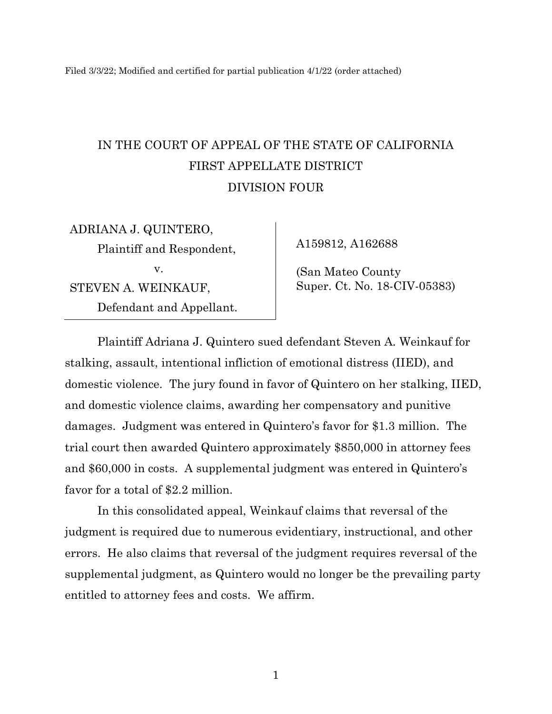Filed 3/3/22; Modified and certified for partial publication 4/1/22 (order attached)

# IN THE COURT OF APPEAL OF THE STATE OF CALIFORNIA FIRST APPELLATE DISTRICT DIVISION FOUR

ADRIANA J. QUINTERO, Plaintiff and Respondent, v. STEVEN A. WEINKAUF, Defendant and Appellant.

A159812, A162688

(San Mateo County Super. Ct. No. 18-CIV-05383)

Plaintiff Adriana J. Quintero sued defendant Steven A. Weinkauf for stalking, assault, intentional infliction of emotional distress (IIED), and domestic violence. The jury found in favor of Quintero on her stalking, IIED, and domestic violence claims, awarding her compensatory and punitive damages. Judgment was entered in Quintero's favor for \$1.3 million. The trial court then awarded Quintero approximately \$850,000 in attorney fees and \$60,000 in costs. A supplemental judgment was entered in Quintero's favor for a total of \$2.2 million.

In this consolidated appeal, Weinkauf claims that reversal of the judgment is required due to numerous evidentiary, instructional, and other errors. He also claims that reversal of the judgment requires reversal of the supplemental judgment, as Quintero would no longer be the prevailing party entitled to attorney fees and costs. We affirm.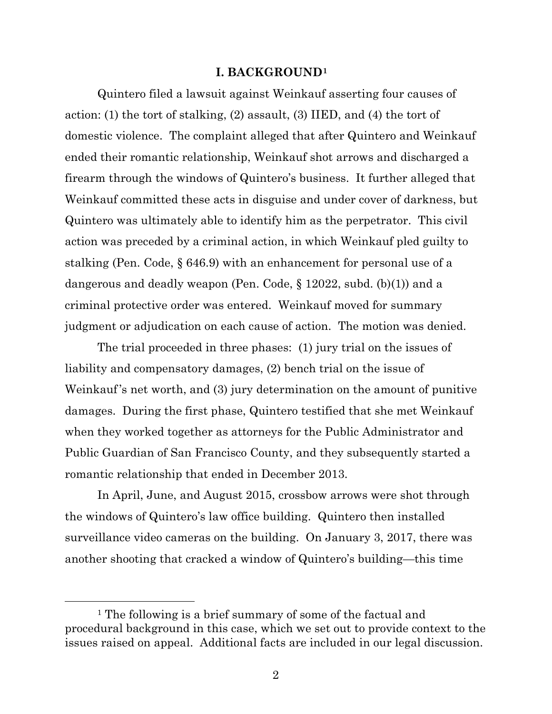#### **I. BACKGROUND[1](#page-1-0)**

Quintero filed a lawsuit against Weinkauf asserting four causes of action: (1) the tort of stalking, (2) assault, (3) IIED, and (4) the tort of domestic violence. The complaint alleged that after Quintero and Weinkauf ended their romantic relationship, Weinkauf shot arrows and discharged a firearm through the windows of Quintero's business. It further alleged that Weinkauf committed these acts in disguise and under cover of darkness, but Quintero was ultimately able to identify him as the perpetrator. This civil action was preceded by a criminal action, in which Weinkauf pled guilty to stalking (Pen. Code, § 646.9) with an enhancement for personal use of a dangerous and deadly weapon (Pen. Code, § 12022, subd. (b)(1)) and a criminal protective order was entered. Weinkauf moved for summary judgment or adjudication on each cause of action. The motion was denied.

The trial proceeded in three phases: (1) jury trial on the issues of liability and compensatory damages, (2) bench trial on the issue of Weinkauf's net worth, and (3) jury determination on the amount of punitive damages. During the first phase, Quintero testified that she met Weinkauf when they worked together as attorneys for the Public Administrator and Public Guardian of San Francisco County, and they subsequently started a romantic relationship that ended in December 2013.

In April, June, and August 2015, crossbow arrows were shot through the windows of Quintero's law office building. Quintero then installed surveillance video cameras on the building. On January 3, 2017, there was another shooting that cracked a window of Quintero's building—this time

<span id="page-1-0"></span><sup>1</sup> The following is a brief summary of some of the factual and procedural background in this case, which we set out to provide context to the issues raised on appeal. Additional facts are included in our legal discussion.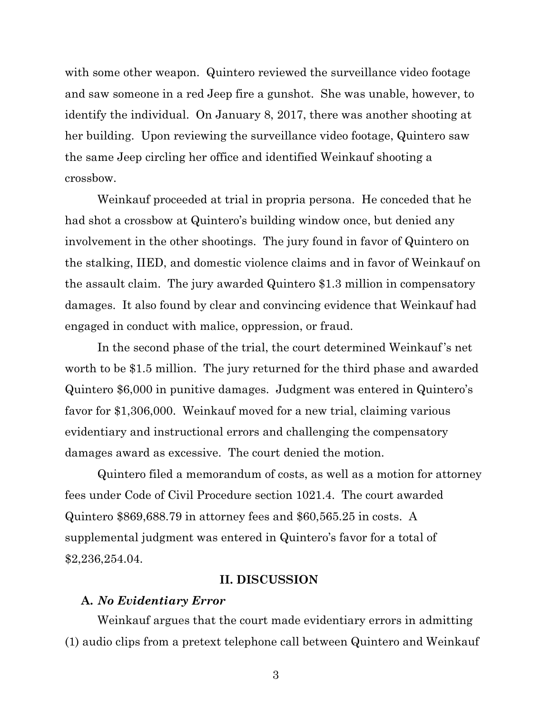with some other weapon. Quintero reviewed the surveillance video footage and saw someone in a red Jeep fire a gunshot. She was unable, however, to identify the individual. On January 8, 2017, there was another shooting at her building. Upon reviewing the surveillance video footage, Quintero saw the same Jeep circling her office and identified Weinkauf shooting a crossbow.

Weinkauf proceeded at trial in propria persona. He conceded that he had shot a crossbow at Quintero's building window once, but denied any involvement in the other shootings. The jury found in favor of Quintero on the stalking, IIED, and domestic violence claims and in favor of Weinkauf on the assault claim. The jury awarded Quintero \$1.3 million in compensatory damages. It also found by clear and convincing evidence that Weinkauf had engaged in conduct with malice, oppression, or fraud.

In the second phase of the trial, the court determined Weinkauf's net worth to be \$1.5 million. The jury returned for the third phase and awarded Quintero \$6,000 in punitive damages. Judgment was entered in Quintero's favor for \$1,306,000. Weinkauf moved for a new trial, claiming various evidentiary and instructional errors and challenging the compensatory damages award as excessive. The court denied the motion.

Quintero filed a memorandum of costs, as well as a motion for attorney fees under Code of Civil Procedure section 1021.4. The court awarded Quintero \$869,688.79 in attorney fees and \$60,565.25 in costs. A supplemental judgment was entered in Quintero's favor for a total of \$2,236,254.04.

## **II. DISCUSSION**

## **A.** *No Evidentiary Error*

Weinkauf argues that the court made evidentiary errors in admitting (1) audio clips from a pretext telephone call between Quintero and Weinkauf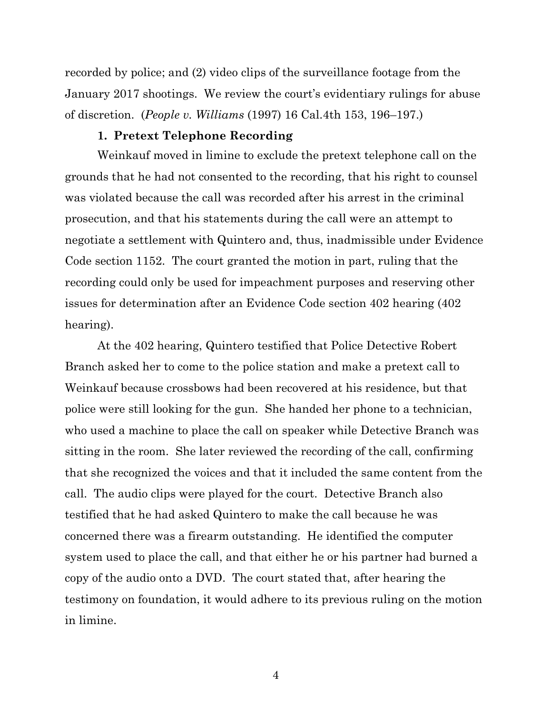recorded by police; and (2) video clips of the surveillance footage from the January 2017 shootings. We review the court's evidentiary rulings for abuse of discretion. (*People v. Williams* (1997) 16 Cal.4th 153, 196–197.)

## **1. Pretext Telephone Recording**

Weinkauf moved in limine to exclude the pretext telephone call on the grounds that he had not consented to the recording, that his right to counsel was violated because the call was recorded after his arrest in the criminal prosecution, and that his statements during the call were an attempt to negotiate a settlement with Quintero and, thus, inadmissible under Evidence Code section 1152. The court granted the motion in part, ruling that the recording could only be used for impeachment purposes and reserving other issues for determination after an Evidence Code section 402 hearing (402 hearing).

At the 402 hearing, Quintero testified that Police Detective Robert Branch asked her to come to the police station and make a pretext call to Weinkauf because crossbows had been recovered at his residence, but that police were still looking for the gun. She handed her phone to a technician, who used a machine to place the call on speaker while Detective Branch was sitting in the room. She later reviewed the recording of the call, confirming that she recognized the voices and that it included the same content from the call. The audio clips were played for the court. Detective Branch also testified that he had asked Quintero to make the call because he was concerned there was a firearm outstanding. He identified the computer system used to place the call, and that either he or his partner had burned a copy of the audio onto a DVD. The court stated that, after hearing the testimony on foundation, it would adhere to its previous ruling on the motion in limine.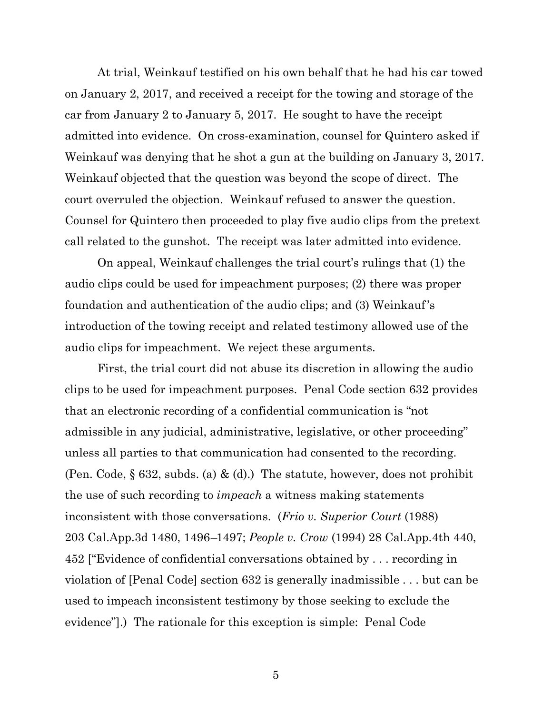At trial, Weinkauf testified on his own behalf that he had his car towed on January 2, 2017, and received a receipt for the towing and storage of the car from January 2 to January 5, 2017. He sought to have the receipt admitted into evidence. On cross-examination, counsel for Quintero asked if Weinkauf was denying that he shot a gun at the building on January 3, 2017. Weinkauf objected that the question was beyond the scope of direct. The court overruled the objection. Weinkauf refused to answer the question. Counsel for Quintero then proceeded to play five audio clips from the pretext call related to the gunshot. The receipt was later admitted into evidence.

On appeal, Weinkauf challenges the trial court's rulings that (1) the audio clips could be used for impeachment purposes; (2) there was proper foundation and authentication of the audio clips; and (3) Weinkauf's introduction of the towing receipt and related testimony allowed use of the audio clips for impeachment. We reject these arguments.

First, the trial court did not abuse its discretion in allowing the audio clips to be used for impeachment purposes. Penal Code section 632 provides that an electronic recording of a confidential communication is "not admissible in any judicial, administrative, legislative, or other proceeding" unless all parties to that communication had consented to the recording. (Pen. Code,  $\S 632$ , subds. (a) & (d).) The statute, however, does not prohibit the use of such recording to *impeach* a witness making statements inconsistent with those conversations. (*Frio v. Superior Court* (1988) 203 Cal.App.3d 1480, 1496–1497; *People v. Crow* (1994) 28 Cal.App.4th 440, 452 ["Evidence of confidential conversations obtained by . . . recording in violation of [Penal Code] section 632 is generally inadmissible . . . but can be used to impeach inconsistent testimony by those seeking to exclude the evidence"].) The rationale for this exception is simple: Penal Code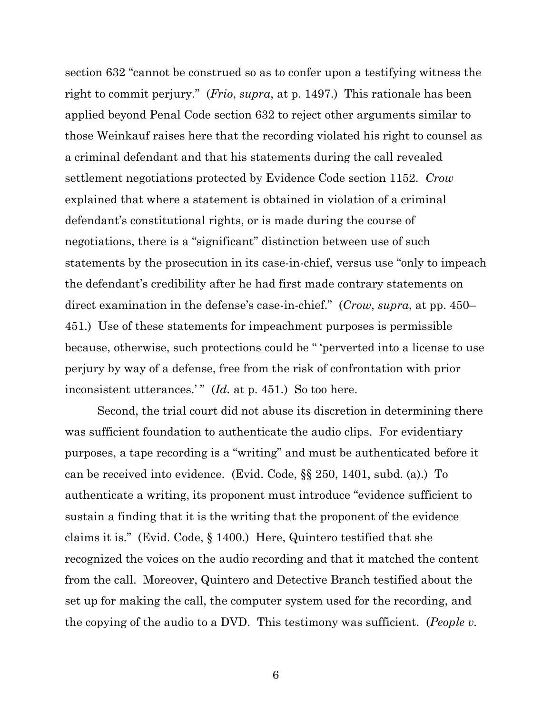section 632 "cannot be construed so as to confer upon a testifying witness the right to commit perjury." (*Frio*, *supra*, at p. 1497.) This rationale has been applied beyond Penal Code section 632 to reject other arguments similar to those Weinkauf raises here that the recording violated his right to counsel as a criminal defendant and that his statements during the call revealed settlement negotiations protected by Evidence Code section 1152. *Crow* explained that where a statement is obtained in violation of a criminal defendant's constitutional rights, or is made during the course of negotiations, there is a "significant" distinction between use of such statements by the prosecution in its case-in-chief, versus use "only to impeach the defendant's credibility after he had first made contrary statements on direct examination in the defense's case-in-chief." (*Crow*, *supra*, at pp. 450– 451.) Use of these statements for impeachment purposes is permissible because, otherwise, such protections could be " 'perverted into a license to use perjury by way of a defense, free from the risk of confrontation with prior inconsistent utterances.'" (*Id.* at p. 451.) So too here.

Second, the trial court did not abuse its discretion in determining there was sufficient foundation to authenticate the audio clips. For evidentiary purposes, a tape recording is a "writing" and must be authenticated before it can be received into evidence. (Evid. Code, §§ 250, 1401, subd. (a).) To authenticate a writing, its proponent must introduce "evidence sufficient to sustain a finding that it is the writing that the proponent of the evidence claims it is." (Evid. Code, § 1400.) Here, Quintero testified that she recognized the voices on the audio recording and that it matched the content from the call. Moreover, Quintero and Detective Branch testified about the set up for making the call, the computer system used for the recording, and the copying of the audio to a DVD. This testimony was sufficient. (*People v.*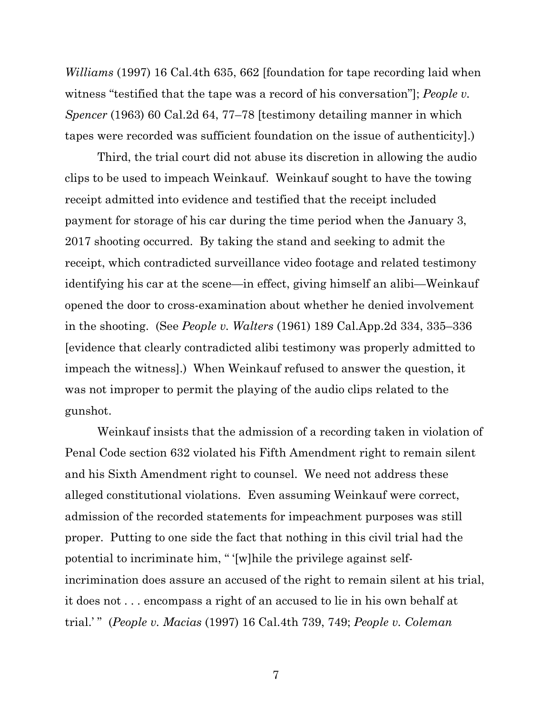*Williams* (1997) 16 Cal.4th 635, 662 [foundation for tape recording laid when witness "testified that the tape was a record of his conversation"]; *People v. Spencer* (1963) 60 Cal.2d 64, 77–78 [testimony detailing manner in which tapes were recorded was sufficient foundation on the issue of authenticity].)

Third, the trial court did not abuse its discretion in allowing the audio clips to be used to impeach Weinkauf. Weinkauf sought to have the towing receipt admitted into evidence and testified that the receipt included payment for storage of his car during the time period when the January 3, 2017 shooting occurred. By taking the stand and seeking to admit the receipt, which contradicted surveillance video footage and related testimony identifying his car at the scene—in effect, giving himself an alibi—Weinkauf opened the door to cross-examination about whether he denied involvement in the shooting. (See *People v. Walters* (1961) 189 Cal.App.2d 334, 335–336 [evidence that clearly contradicted alibi testimony was properly admitted to impeach the witness].) When Weinkauf refused to answer the question, it was not improper to permit the playing of the audio clips related to the gunshot.

Weinkauf insists that the admission of a recording taken in violation of Penal Code section 632 violated his Fifth Amendment right to remain silent and his Sixth Amendment right to counsel. We need not address these alleged constitutional violations. Even assuming Weinkauf were correct, admission of the recorded statements for impeachment purposes was still proper. Putting to one side the fact that nothing in this civil trial had the potential to incriminate him, " '[w]hile the privilege against selfincrimination does assure an accused of the right to remain silent at his trial, it does not . . . encompass a right of an accused to lie in his own behalf at trial.' " (*People v. Macias* (1997) 16 Cal.4th 739, 749; *People v. Coleman*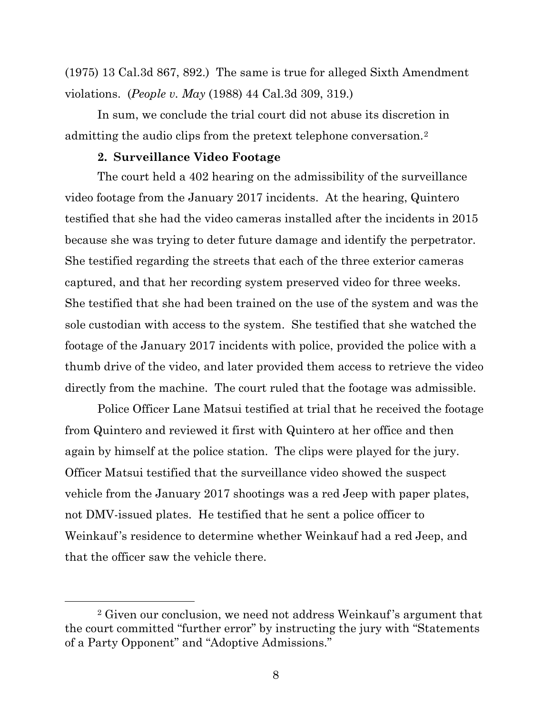(1975) 13 Cal.3d 867, 892.) The same is true for alleged Sixth Amendment violations. (*People v. May* (1988) 44 Cal.3d 309, 319.)

In sum, we conclude the trial court did not abuse its discretion in admitting the audio clips from the pretext telephone conversation.[2](#page-7-0)

## **2. Surveillance Video Footage**

The court held a 402 hearing on the admissibility of the surveillance video footage from the January 2017 incidents. At the hearing, Quintero testified that she had the video cameras installed after the incidents in 2015 because she was trying to deter future damage and identify the perpetrator. She testified regarding the streets that each of the three exterior cameras captured, and that her recording system preserved video for three weeks. She testified that she had been trained on the use of the system and was the sole custodian with access to the system. She testified that she watched the footage of the January 2017 incidents with police, provided the police with a thumb drive of the video, and later provided them access to retrieve the video directly from the machine. The court ruled that the footage was admissible.

Police Officer Lane Matsui testified at trial that he received the footage from Quintero and reviewed it first with Quintero at her office and then again by himself at the police station. The clips were played for the jury. Officer Matsui testified that the surveillance video showed the suspect vehicle from the January 2017 shootings was a red Jeep with paper plates, not DMV-issued plates. He testified that he sent a police officer to Weinkauf's residence to determine whether Weinkauf had a red Jeep, and that the officer saw the vehicle there.

<span id="page-7-0"></span><sup>2</sup> Given our conclusion, we need not address Weinkauf's argument that the court committed "further error" by instructing the jury with "Statements of a Party Opponent" and "Adoptive Admissions."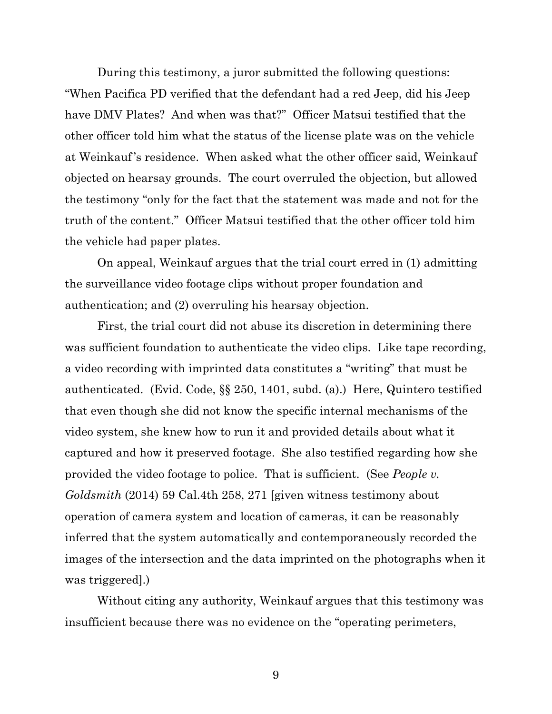During this testimony, a juror submitted the following questions: "When Pacifica PD verified that the defendant had a red Jeep, did his Jeep have DMV Plates? And when was that?" Officer Matsui testified that the other officer told him what the status of the license plate was on the vehicle at Weinkauf's residence. When asked what the other officer said, Weinkauf objected on hearsay grounds. The court overruled the objection, but allowed the testimony "only for the fact that the statement was made and not for the truth of the content." Officer Matsui testified that the other officer told him the vehicle had paper plates.

On appeal, Weinkauf argues that the trial court erred in (1) admitting the surveillance video footage clips without proper foundation and authentication; and (2) overruling his hearsay objection.

First, the trial court did not abuse its discretion in determining there was sufficient foundation to authenticate the video clips. Like tape recording, a video recording with imprinted data constitutes a "writing" that must be authenticated. (Evid. Code, §§ 250, 1401, subd. (a).) Here, Quintero testified that even though she did not know the specific internal mechanisms of the video system, she knew how to run it and provided details about what it captured and how it preserved footage. She also testified regarding how she provided the video footage to police. That is sufficient. (See *People v. Goldsmith* (2014) 59 Cal.4th 258, 271 [given witness testimony about operation of camera system and location of cameras, it can be reasonably inferred that the system automatically and contemporaneously recorded the images of the intersection and the data imprinted on the photographs when it was triggered].)

Without citing any authority, Weinkauf argues that this testimony was insufficient because there was no evidence on the "operating perimeters,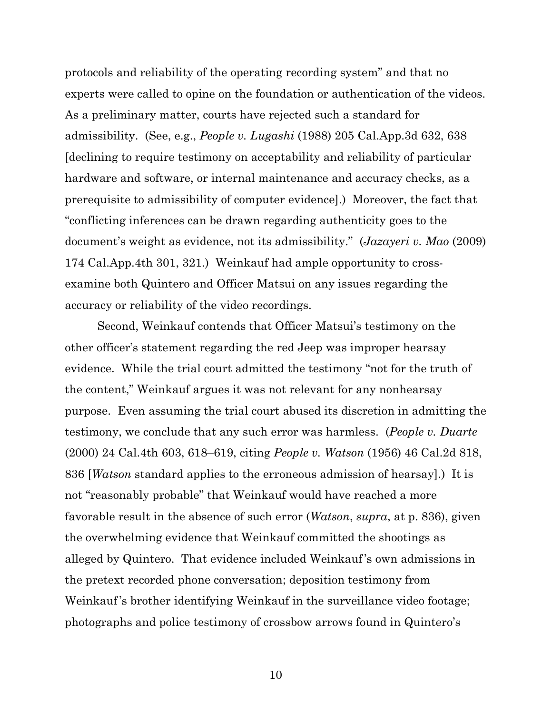protocols and reliability of the operating recording system" and that no experts were called to opine on the foundation or authentication of the videos. As a preliminary matter, courts have rejected such a standard for admissibility. (See, e.g., *People v. Lugashi* (1988) 205 Cal.App.3d 632, 638 [declining to require testimony on acceptability and reliability of particular hardware and software, or internal maintenance and accuracy checks, as a prerequisite to admissibility of computer evidence].) Moreover, the fact that "conflicting inferences can be drawn regarding authenticity goes to the document's weight as evidence, not its admissibility." (*Jazayeri v. Mao* (2009) 174 Cal.App.4th 301, 321.) Weinkauf had ample opportunity to crossexamine both Quintero and Officer Matsui on any issues regarding the accuracy or reliability of the video recordings.

Second, Weinkauf contends that Officer Matsui's testimony on the other officer's statement regarding the red Jeep was improper hearsay evidence. While the trial court admitted the testimony "not for the truth of the content," Weinkauf argues it was not relevant for any nonhearsay purpose. Even assuming the trial court abused its discretion in admitting the testimony, we conclude that any such error was harmless. (*People v. Duarte* (2000) 24 Cal.4th 603, 618–619, citing *People v. Watson* (1956) 46 Cal.2d 818, 836 [*Watson* standard applies to the erroneous admission of hearsay].) It is not "reasonably probable" that Weinkauf would have reached a more favorable result in the absence of such error (*Watson*, *supra*, at p. 836), given the overwhelming evidence that Weinkauf committed the shootings as alleged by Quintero. That evidence included Weinkauf's own admissions in the pretext recorded phone conversation; deposition testimony from Weinkauf's brother identifying Weinkauf in the surveillance video footage; photographs and police testimony of crossbow arrows found in Quintero's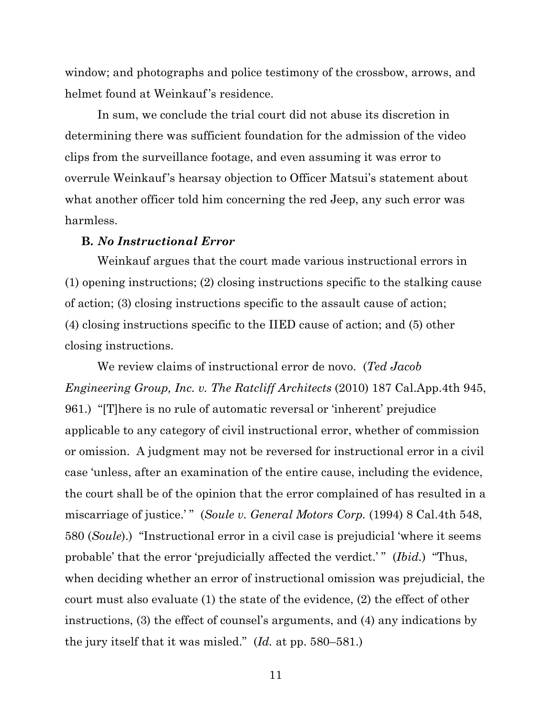window; and photographs and police testimony of the crossbow, arrows, and helmet found at Weinkauf's residence.

In sum, we conclude the trial court did not abuse its discretion in determining there was sufficient foundation for the admission of the video clips from the surveillance footage, and even assuming it was error to overrule Weinkauf's hearsay objection to Officer Matsui's statement about what another officer told him concerning the red Jeep, any such error was harmless.

#### **B.** *No Instructional Error*

Weinkauf argues that the court made various instructional errors in (1) opening instructions; (2) closing instructions specific to the stalking cause of action; (3) closing instructions specific to the assault cause of action; (4) closing instructions specific to the IIED cause of action; and (5) other closing instructions.

We review claims of instructional error de novo. (*Ted Jacob Engineering Group, Inc. v. The Ratcliff Architects* (2010) 187 Cal.App.4th 945, 961.) "[T]here is no rule of automatic reversal or 'inherent' prejudice applicable to any category of civil instructional error, whether of commission or omission. A judgment may not be reversed for instructional error in a civil case 'unless, after an examination of the entire cause, including the evidence, the court shall be of the opinion that the error complained of has resulted in a miscarriage of justice.'" (*Soule v. General Motors Corp.* (1994) 8 Cal.4th 548, 580 (*Soule*).) "Instructional error in a civil case is prejudicial 'where it seems probable' that the error 'prejudicially affected the verdict.' " (*Ibid.*) "Thus, when deciding whether an error of instructional omission was prejudicial, the court must also evaluate (1) the state of the evidence, (2) the effect of other instructions, (3) the effect of counsel's arguments, and (4) any indications by the jury itself that it was misled." (*Id.* at pp. 580–581.)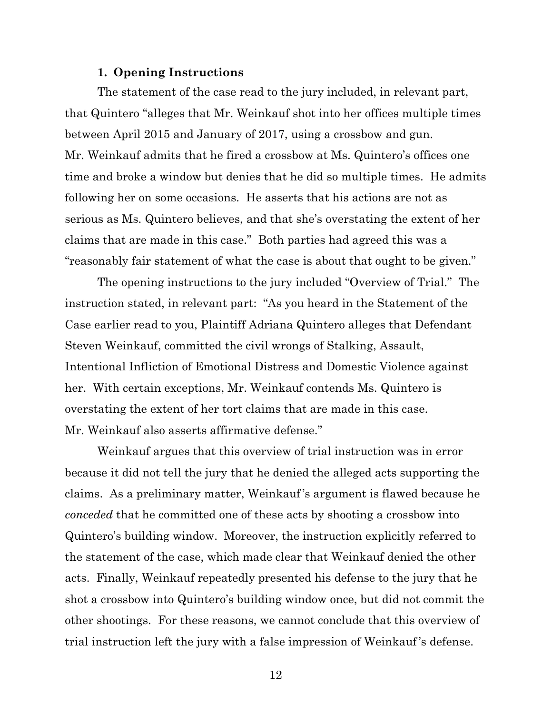#### **1. Opening Instructions**

The statement of the case read to the jury included, in relevant part, that Quintero "alleges that Mr. Weinkauf shot into her offices multiple times between April 2015 and January of 2017, using a crossbow and gun. Mr. Weinkauf admits that he fired a crossbow at Ms. Quintero's offices one time and broke a window but denies that he did so multiple times. He admits following her on some occasions. He asserts that his actions are not as serious as Ms. Quintero believes, and that she's overstating the extent of her claims that are made in this case." Both parties had agreed this was a "reasonably fair statement of what the case is about that ought to be given."

The opening instructions to the jury included "Overview of Trial." The instruction stated, in relevant part: "As you heard in the Statement of the Case earlier read to you, Plaintiff Adriana Quintero alleges that Defendant Steven Weinkauf, committed the civil wrongs of Stalking, Assault, Intentional Infliction of Emotional Distress and Domestic Violence against her. With certain exceptions, Mr. Weinkauf contends Ms. Quintero is overstating the extent of her tort claims that are made in this case. Mr. Weinkauf also asserts affirmative defense."

Weinkauf argues that this overview of trial instruction was in error because it did not tell the jury that he denied the alleged acts supporting the claims. As a preliminary matter, Weinkauf's argument is flawed because he *conceded* that he committed one of these acts by shooting a crossbow into Quintero's building window. Moreover, the instruction explicitly referred to the statement of the case, which made clear that Weinkauf denied the other acts. Finally, Weinkauf repeatedly presented his defense to the jury that he shot a crossbow into Quintero's building window once, but did not commit the other shootings. For these reasons, we cannot conclude that this overview of trial instruction left the jury with a false impression of Weinkauf's defense.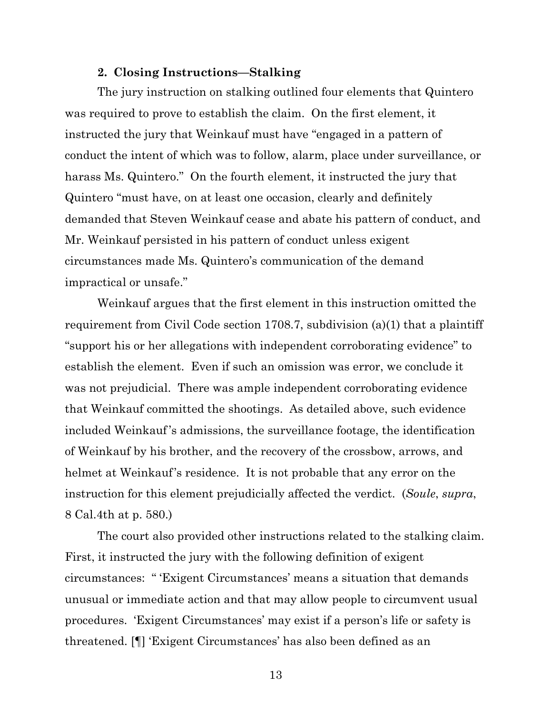#### **2. Closing Instructions—Stalking**

The jury instruction on stalking outlined four elements that Quintero was required to prove to establish the claim. On the first element, it instructed the jury that Weinkauf must have "engaged in a pattern of conduct the intent of which was to follow, alarm, place under surveillance, or harass Ms. Quintero." On the fourth element, it instructed the jury that Quintero "must have, on at least one occasion, clearly and definitely demanded that Steven Weinkauf cease and abate his pattern of conduct, and Mr. Weinkauf persisted in his pattern of conduct unless exigent circumstances made Ms. Quintero's communication of the demand impractical or unsafe."

Weinkauf argues that the first element in this instruction omitted the requirement from Civil Code section 1708.7, subdivision (a)(1) that a plaintiff "support his or her allegations with independent corroborating evidence" to establish the element. Even if such an omission was error, we conclude it was not prejudicial. There was ample independent corroborating evidence that Weinkauf committed the shootings. As detailed above, such evidence included Weinkauf's admissions, the surveillance footage, the identification of Weinkauf by his brother, and the recovery of the crossbow, arrows, and helmet at Weinkauf's residence. It is not probable that any error on the instruction for this element prejudicially affected the verdict. (*Soule*, *supra*, 8 Cal.4th at p. 580.)

The court also provided other instructions related to the stalking claim. First, it instructed the jury with the following definition of exigent circumstances: " 'Exigent Circumstances' means a situation that demands unusual or immediate action and that may allow people to circumvent usual procedures. 'Exigent Circumstances' may exist if a person's life or safety is threatened. [¶] 'Exigent Circumstances' has also been defined as an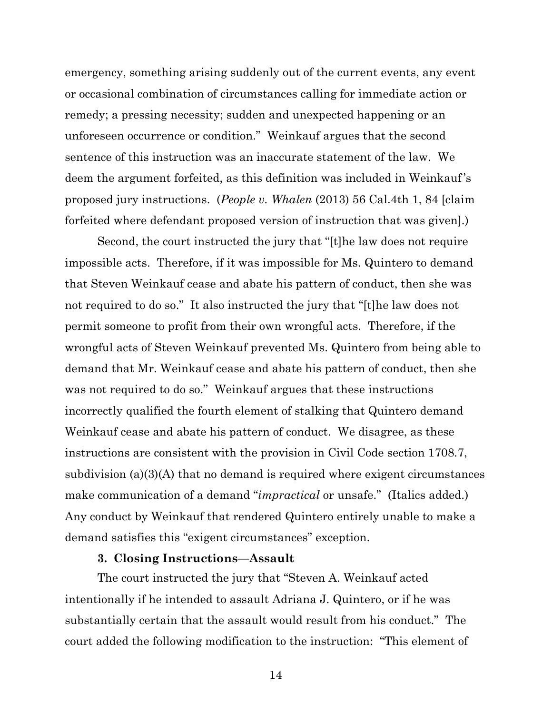emergency, something arising suddenly out of the current events, any event or occasional combination of circumstances calling for immediate action or remedy; a pressing necessity; sudden and unexpected happening or an unforeseen occurrence or condition." Weinkauf argues that the second sentence of this instruction was an inaccurate statement of the law. We deem the argument forfeited, as this definition was included in Weinkauf's proposed jury instructions. (*People v. Whalen* (2013) 56 Cal.4th 1, 84 [claim forfeited where defendant proposed version of instruction that was given].)

Second, the court instructed the jury that "[t]he law does not require impossible acts. Therefore, if it was impossible for Ms. Quintero to demand that Steven Weinkauf cease and abate his pattern of conduct, then she was not required to do so." It also instructed the jury that "[t]he law does not permit someone to profit from their own wrongful acts. Therefore, if the wrongful acts of Steven Weinkauf prevented Ms. Quintero from being able to demand that Mr. Weinkauf cease and abate his pattern of conduct, then she was not required to do so." Weinkauf argues that these instructions incorrectly qualified the fourth element of stalking that Quintero demand Weinkauf cease and abate his pattern of conduct. We disagree, as these instructions are consistent with the provision in Civil Code section 1708.7, subdivision (a)(3)(A) that no demand is required where exigent circumstances make communication of a demand "*impractical* or unsafe." (Italics added.) Any conduct by Weinkauf that rendered Quintero entirely unable to make a demand satisfies this "exigent circumstances" exception.

## **3. Closing Instructions—Assault**

The court instructed the jury that "Steven A. Weinkauf acted intentionally if he intended to assault Adriana J. Quintero, or if he was substantially certain that the assault would result from his conduct." The court added the following modification to the instruction: "This element of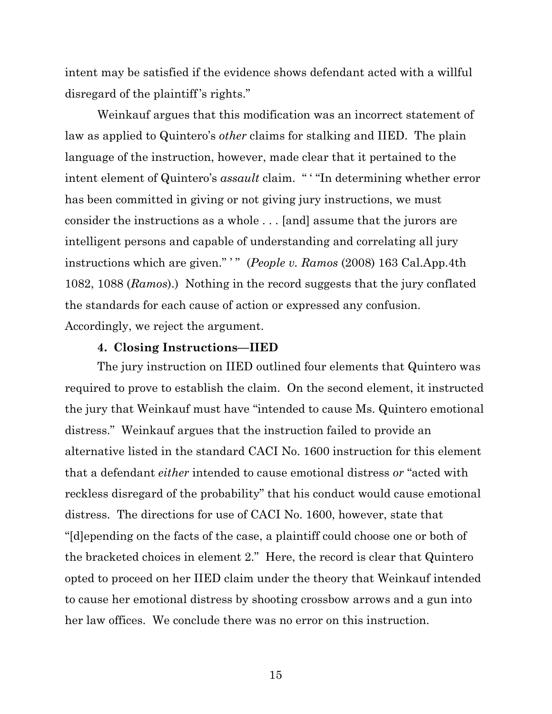intent may be satisfied if the evidence shows defendant acted with a willful disregard of the plaintiff's rights."

Weinkauf argues that this modification was an incorrect statement of law as applied to Quintero's *other* claims for stalking and IIED. The plain language of the instruction, however, made clear that it pertained to the intent element of Quintero's *assault* claim. " ' "In determining whether error has been committed in giving or not giving jury instructions, we must consider the instructions as a whole . . . [and] assume that the jurors are intelligent persons and capable of understanding and correlating all jury instructions which are given." ' " (*People v. Ramos* (2008) 163 Cal.App.4th 1082, 1088 (*Ramos*).) Nothing in the record suggests that the jury conflated the standards for each cause of action or expressed any confusion. Accordingly, we reject the argument.

#### **4. Closing Instructions—IIED**

The jury instruction on IIED outlined four elements that Quintero was required to prove to establish the claim. On the second element, it instructed the jury that Weinkauf must have "intended to cause Ms. Quintero emotional distress." Weinkauf argues that the instruction failed to provide an alternative listed in the standard CACI No. 1600 instruction for this element that a defendant *either* intended to cause emotional distress *or* "acted with reckless disregard of the probability" that his conduct would cause emotional distress. The directions for use of CACI No. 1600, however, state that "[d]epending on the facts of the case, a plaintiff could choose one or both of the bracketed choices in element 2." Here, the record is clear that Quintero opted to proceed on her IIED claim under the theory that Weinkauf intended to cause her emotional distress by shooting crossbow arrows and a gun into her law offices. We conclude there was no error on this instruction.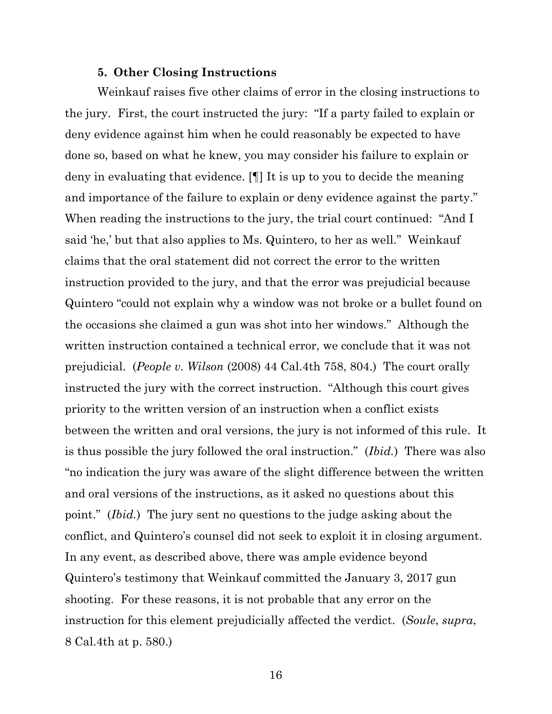#### **5. Other Closing Instructions**

Weinkauf raises five other claims of error in the closing instructions to the jury. First, the court instructed the jury: "If a party failed to explain or deny evidence against him when he could reasonably be expected to have done so, based on what he knew, you may consider his failure to explain or deny in evaluating that evidence. [¶] It is up to you to decide the meaning and importance of the failure to explain or deny evidence against the party." When reading the instructions to the jury, the trial court continued: "And I said 'he,' but that also applies to Ms. Quintero, to her as well." Weinkauf claims that the oral statement did not correct the error to the written instruction provided to the jury, and that the error was prejudicial because Quintero "could not explain why a window was not broke or a bullet found on the occasions she claimed a gun was shot into her windows." Although the written instruction contained a technical error, we conclude that it was not prejudicial. (*People v. Wilson* (2008) 44 Cal.4th 758, 804.) The court orally instructed the jury with the correct instruction. "Although this court gives priority to the written version of an instruction when a conflict exists between the written and oral versions, the jury is not informed of this rule. It is thus possible the jury followed the oral instruction." (*Ibid.*) There was also "no indication the jury was aware of the slight difference between the written and oral versions of the instructions, as it asked no questions about this point." (*Ibid.*) The jury sent no questions to the judge asking about the conflict, and Quintero's counsel did not seek to exploit it in closing argument. In any event, as described above, there was ample evidence beyond Quintero's testimony that Weinkauf committed the January 3, 2017 gun shooting. For these reasons, it is not probable that any error on the instruction for this element prejudicially affected the verdict. (*Soule*, *supra*, 8 Cal.4th at p. 580.)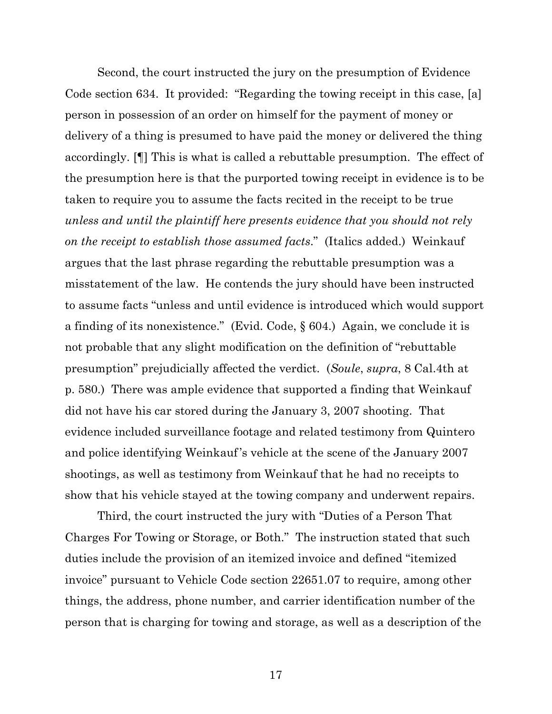Second, the court instructed the jury on the presumption of Evidence Code section 634. It provided: "Regarding the towing receipt in this case, [a] person in possession of an order on himself for the payment of money or delivery of a thing is presumed to have paid the money or delivered the thing accordingly. [¶] This is what is called a rebuttable presumption. The effect of the presumption here is that the purported towing receipt in evidence is to be taken to require you to assume the facts recited in the receipt to be true *unless and until the plaintiff here presents evidence that you should not rely on the receipt to establish those assumed facts*." (Italics added.) Weinkauf argues that the last phrase regarding the rebuttable presumption was a misstatement of the law. He contends the jury should have been instructed to assume facts "unless and until evidence is introduced which would support a finding of its nonexistence." (Evid. Code, § 604.) Again, we conclude it is not probable that any slight modification on the definition of "rebuttable presumption" prejudicially affected the verdict. (*Soule*, *supra*, 8 Cal.4th at p. 580.) There was ample evidence that supported a finding that Weinkauf did not have his car stored during the January 3, 2007 shooting. That evidence included surveillance footage and related testimony from Quintero and police identifying Weinkauf's vehicle at the scene of the January 2007 shootings, as well as testimony from Weinkauf that he had no receipts to show that his vehicle stayed at the towing company and underwent repairs.

Third, the court instructed the jury with "Duties of a Person That Charges For Towing or Storage, or Both." The instruction stated that such duties include the provision of an itemized invoice and defined "itemized invoice" pursuant to Vehicle Code section 22651.07 to require, among other things, the address, phone number, and carrier identification number of the person that is charging for towing and storage, as well as a description of the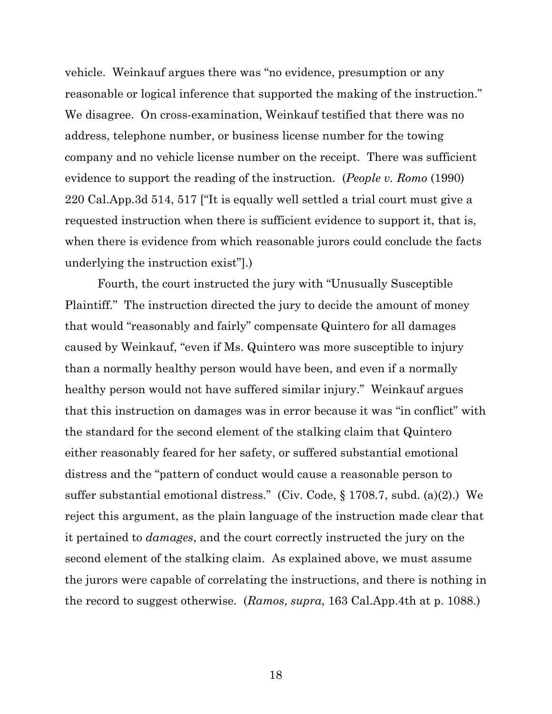vehicle. Weinkauf argues there was "no evidence, presumption or any reasonable or logical inference that supported the making of the instruction." We disagree. On cross-examination, Weinkauf testified that there was no address, telephone number, or business license number for the towing company and no vehicle license number on the receipt. There was sufficient evidence to support the reading of the instruction. (*People v. Romo* (1990) 220 Cal.App.3d 514, 517 ["It is equally well settled a trial court must give a requested instruction when there is sufficient evidence to support it, that is, when there is evidence from which reasonable jurors could conclude the facts underlying the instruction exist"].)

Fourth, the court instructed the jury with "Unusually Susceptible Plaintiff." The instruction directed the jury to decide the amount of money that would "reasonably and fairly" compensate Quintero for all damages caused by Weinkauf, "even if Ms. Quintero was more susceptible to injury than a normally healthy person would have been, and even if a normally healthy person would not have suffered similar injury." Weinkauf argues that this instruction on damages was in error because it was "in conflict" with the standard for the second element of the stalking claim that Quintero either reasonably feared for her safety, or suffered substantial emotional distress and the "pattern of conduct would cause a reasonable person to suffer substantial emotional distress." (Civ. Code, § 1708.7, subd. (a)(2).) We reject this argument, as the plain language of the instruction made clear that it pertained to *damages*, and the court correctly instructed the jury on the second element of the stalking claim. As explained above, we must assume the jurors were capable of correlating the instructions, and there is nothing in the record to suggest otherwise. (*Ramos*, *supra*, 163 Cal.App.4th at p. 1088.)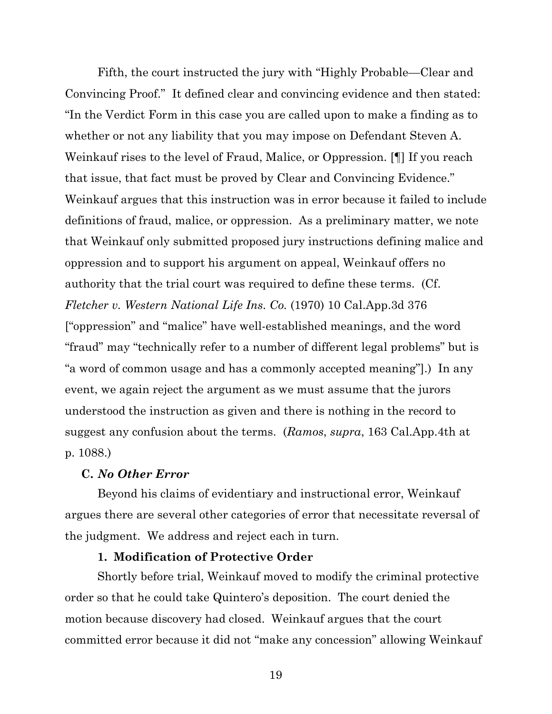Fifth, the court instructed the jury with "Highly Probable—Clear and Convincing Proof." It defined clear and convincing evidence and then stated: "In the Verdict Form in this case you are called upon to make a finding as to whether or not any liability that you may impose on Defendant Steven A. Weinkauf rises to the level of Fraud, Malice, or Oppression. [¶] If you reach that issue, that fact must be proved by Clear and Convincing Evidence." Weinkauf argues that this instruction was in error because it failed to include definitions of fraud, malice, or oppression. As a preliminary matter, we note that Weinkauf only submitted proposed jury instructions defining malice and oppression and to support his argument on appeal, Weinkauf offers no authority that the trial court was required to define these terms. (Cf. *Fletcher v. Western National Life Ins. Co.* (1970) 10 Cal.App.3d 376 ["oppression" and "malice" have well-established meanings, and the word "fraud" may "technically refer to a number of different legal problems" but is "a word of common usage and has a commonly accepted meaning"].) In any event, we again reject the argument as we must assume that the jurors understood the instruction as given and there is nothing in the record to suggest any confusion about the terms. (*Ramos*, *supra*, 163 Cal.App.4th at p. 1088.)

## **C.** *No Other Error*

Beyond his claims of evidentiary and instructional error, Weinkauf argues there are several other categories of error that necessitate reversal of the judgment. We address and reject each in turn.

## **1. Modification of Protective Order**

Shortly before trial, Weinkauf moved to modify the criminal protective order so that he could take Quintero's deposition. The court denied the motion because discovery had closed. Weinkauf argues that the court committed error because it did not "make any concession" allowing Weinkauf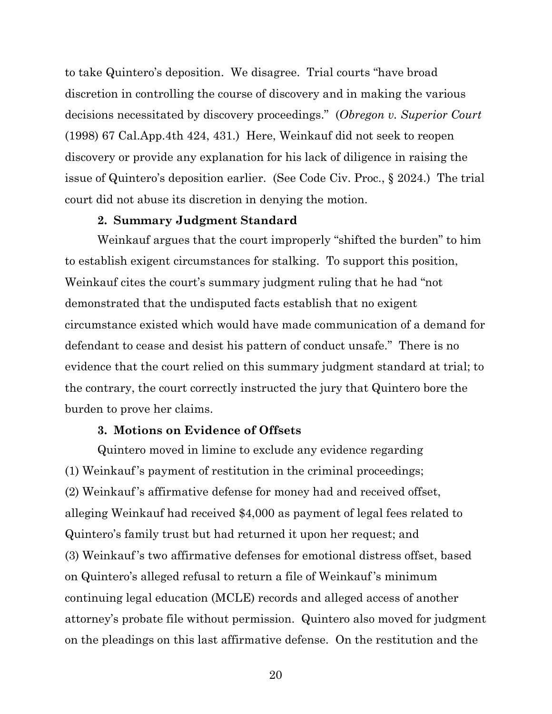to take Quintero's deposition. We disagree. Trial courts "have broad discretion in controlling the course of discovery and in making the various decisions necessitated by discovery proceedings." (*Obregon v. Superior Court* (1998) 67 Cal.App.4th 424, 431.) Here, Weinkauf did not seek to reopen discovery or provide any explanation for his lack of diligence in raising the issue of Quintero's deposition earlier. (See Code Civ. Proc., § 2024.) The trial court did not abuse its discretion in denying the motion.

## **2. Summary Judgment Standard**

Weinkauf argues that the court improperly "shifted the burden" to him to establish exigent circumstances for stalking. To support this position, Weinkauf cites the court's summary judgment ruling that he had "not demonstrated that the undisputed facts establish that no exigent circumstance existed which would have made communication of a demand for defendant to cease and desist his pattern of conduct unsafe." There is no evidence that the court relied on this summary judgment standard at trial; to the contrary, the court correctly instructed the jury that Quintero bore the burden to prove her claims.

## **3. Motions on Evidence of Offsets**

Quintero moved in limine to exclude any evidence regarding (1) Weinkauf's payment of restitution in the criminal proceedings; (2) Weinkauf's affirmative defense for money had and received offset, alleging Weinkauf had received \$4,000 as payment of legal fees related to Quintero's family trust but had returned it upon her request; and (3) Weinkauf's two affirmative defenses for emotional distress offset, based on Quintero's alleged refusal to return a file of Weinkauf's minimum continuing legal education (MCLE) records and alleged access of another attorney's probate file without permission. Quintero also moved for judgment on the pleadings on this last affirmative defense. On the restitution and the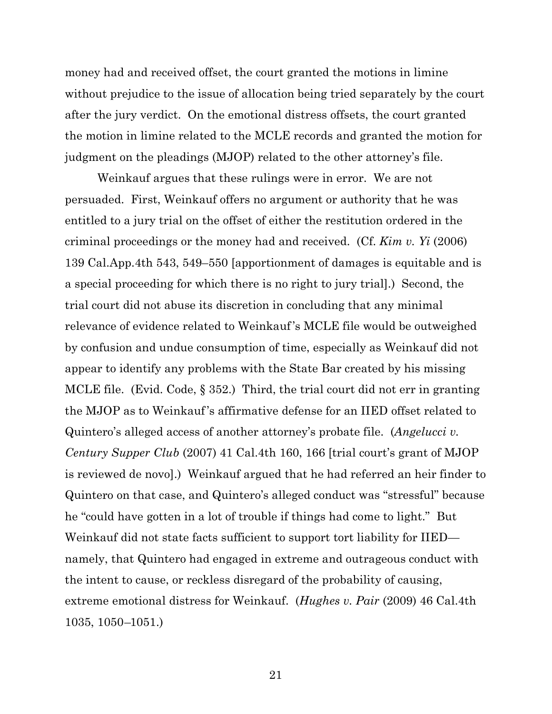money had and received offset, the court granted the motions in limine without prejudice to the issue of allocation being tried separately by the court after the jury verdict. On the emotional distress offsets, the court granted the motion in limine related to the MCLE records and granted the motion for judgment on the pleadings (MJOP) related to the other attorney's file.

Weinkauf argues that these rulings were in error. We are not persuaded. First, Weinkauf offers no argument or authority that he was entitled to a jury trial on the offset of either the restitution ordered in the criminal proceedings or the money had and received. (Cf. *Kim v. Yi* (2006) 139 Cal.App.4th 543, 549–550 [apportionment of damages is equitable and is a special proceeding for which there is no right to jury trial].) Second, the trial court did not abuse its discretion in concluding that any minimal relevance of evidence related to Weinkauf's MCLE file would be outweighed by confusion and undue consumption of time, especially as Weinkauf did not appear to identify any problems with the State Bar created by his missing MCLE file. (Evid. Code, § 352.) Third, the trial court did not err in granting the MJOP as to Weinkauf's affirmative defense for an IIED offset related to Quintero's alleged access of another attorney's probate file. (*Angelucci v. Century Supper Club* (2007) 41 Cal.4th 160, 166 [trial court's grant of MJOP is reviewed de novo].) Weinkauf argued that he had referred an heir finder to Quintero on that case, and Quintero's alleged conduct was "stressful" because he "could have gotten in a lot of trouble if things had come to light." But Weinkauf did not state facts sufficient to support tort liability for IIED namely, that Quintero had engaged in extreme and outrageous conduct with the intent to cause, or reckless disregard of the probability of causing, extreme emotional distress for Weinkauf. (*Hughes v. Pair* (2009) 46 Cal.4th 1035, 1050–1051.)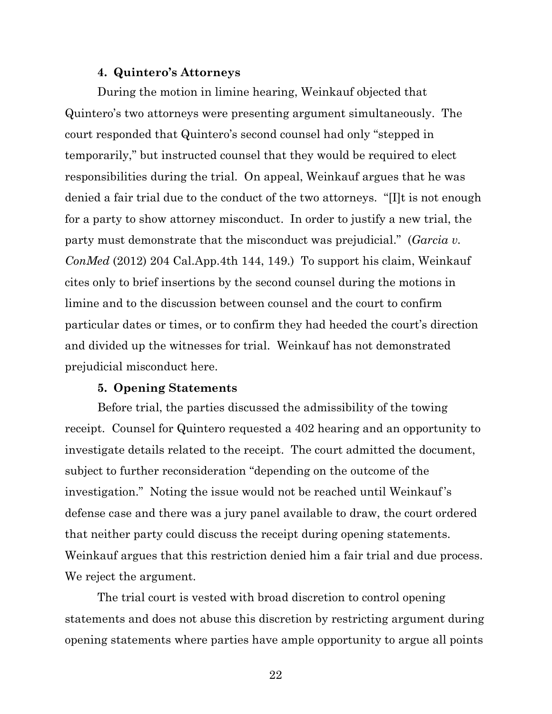## **4. Quintero's Attorneys**

During the motion in limine hearing, Weinkauf objected that Quintero's two attorneys were presenting argument simultaneously. The court responded that Quintero's second counsel had only "stepped in temporarily," but instructed counsel that they would be required to elect responsibilities during the trial. On appeal, Weinkauf argues that he was denied a fair trial due to the conduct of the two attorneys. "[I]t is not enough for a party to show attorney misconduct. In order to justify a new trial, the party must demonstrate that the misconduct was prejudicial." (*Garcia v. ConMed* (2012) 204 Cal.App.4th 144, 149.) To support his claim, Weinkauf cites only to brief insertions by the second counsel during the motions in limine and to the discussion between counsel and the court to confirm particular dates or times, or to confirm they had heeded the court's direction and divided up the witnesses for trial. Weinkauf has not demonstrated prejudicial misconduct here.

## **5. Opening Statements**

Before trial, the parties discussed the admissibility of the towing receipt. Counsel for Quintero requested a 402 hearing and an opportunity to investigate details related to the receipt. The court admitted the document, subject to further reconsideration "depending on the outcome of the investigation." Noting the issue would not be reached until Weinkauf's defense case and there was a jury panel available to draw, the court ordered that neither party could discuss the receipt during opening statements. Weinkauf argues that this restriction denied him a fair trial and due process. We reject the argument.

The trial court is vested with broad discretion to control opening statements and does not abuse this discretion by restricting argument during opening statements where parties have ample opportunity to argue all points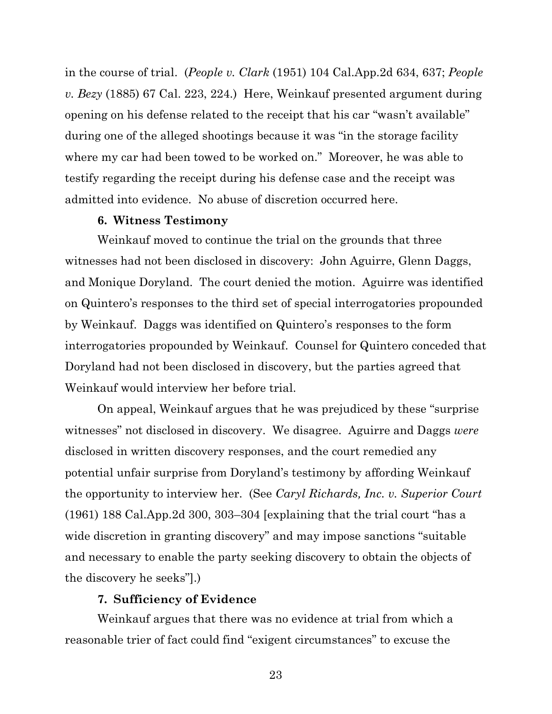in the course of trial. (*People v. Clark* (1951) 104 Cal.App.2d 634, 637; *People v. Bezy* (1885) 67 Cal. 223, 224.) Here, Weinkauf presented argument during opening on his defense related to the receipt that his car "wasn't available" during one of the alleged shootings because it was "in the storage facility where my car had been towed to be worked on." Moreover, he was able to testify regarding the receipt during his defense case and the receipt was admitted into evidence. No abuse of discretion occurred here.

#### **6. Witness Testimony**

Weinkauf moved to continue the trial on the grounds that three witnesses had not been disclosed in discovery: John Aguirre, Glenn Daggs, and Monique Doryland. The court denied the motion. Aguirre was identified on Quintero's responses to the third set of special interrogatories propounded by Weinkauf. Daggs was identified on Quintero's responses to the form interrogatories propounded by Weinkauf. Counsel for Quintero conceded that Doryland had not been disclosed in discovery, but the parties agreed that Weinkauf would interview her before trial.

On appeal, Weinkauf argues that he was prejudiced by these "surprise witnesses" not disclosed in discovery. We disagree. Aguirre and Daggs *were* disclosed in written discovery responses, and the court remedied any potential unfair surprise from Doryland's testimony by affording Weinkauf the opportunity to interview her. (See *Caryl Richards, Inc. v. Superior Court* (1961) 188 Cal.App.2d 300, 303–304 [explaining that the trial court "has a wide discretion in granting discovery" and may impose sanctions "suitable and necessary to enable the party seeking discovery to obtain the objects of the discovery he seeks"].)

#### **7. Sufficiency of Evidence**

Weinkauf argues that there was no evidence at trial from which a reasonable trier of fact could find "exigent circumstances" to excuse the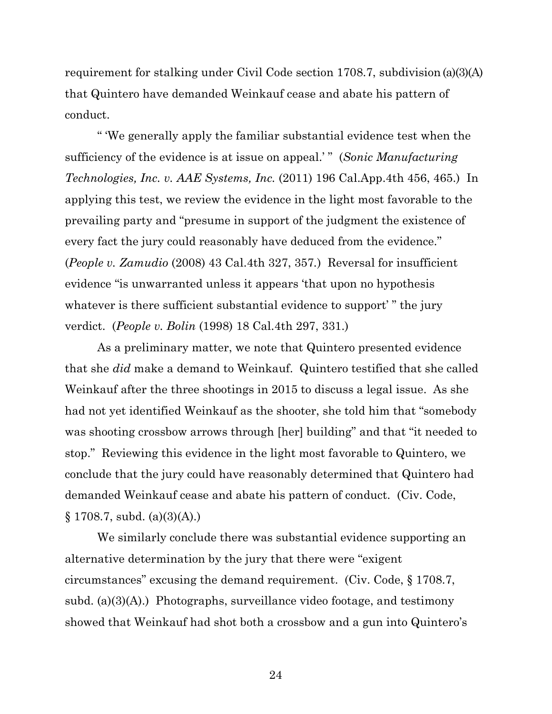requirement for stalking under Civil Code section 1708.7, subdivision (a)(3)(A) that Quintero have demanded Weinkauf cease and abate his pattern of conduct.

" 'We generally apply the familiar substantial evidence test when the sufficiency of the evidence is at issue on appeal.' " (*Sonic Manufacturing Technologies, Inc. v. AAE Systems, Inc.* (2011) 196 Cal.App.4th 456, 465.) In applying this test, we review the evidence in the light most favorable to the prevailing party and "presume in support of the judgment the existence of every fact the jury could reasonably have deduced from the evidence." (*People v. Zamudio* (2008) 43 Cal.4th 327, 357*.*) Reversal for insufficient evidence "is unwarranted unless it appears 'that upon no hypothesis whatever is there sufficient substantial evidence to support'" the jury verdict. (*People v. Bolin* (1998) 18 Cal.4th 297, 331.)

As a preliminary matter, we note that Quintero presented evidence that she *did* make a demand to Weinkauf. Quintero testified that she called Weinkauf after the three shootings in 2015 to discuss a legal issue. As she had not yet identified Weinkauf as the shooter, she told him that "somebody was shooting crossbow arrows through [her] building" and that "it needed to stop." Reviewing this evidence in the light most favorable to Quintero, we conclude that the jury could have reasonably determined that Quintero had demanded Weinkauf cease and abate his pattern of conduct. (Civ. Code,  $\S 1708.7$ , subd. (a)(3)(A).)

We similarly conclude there was substantial evidence supporting an alternative determination by the jury that there were "exigent circumstances" excusing the demand requirement. (Civ. Code, § 1708.7, subd.  $(a)(3)(A)$ .) Photographs, surveillance video footage, and testimony showed that Weinkauf had shot both a crossbow and a gun into Quintero's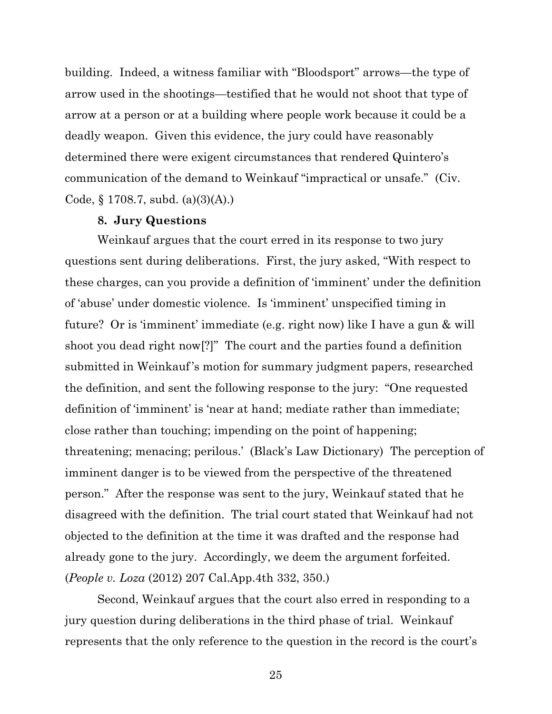building. Indeed, a witness familiar with "Bloodsport" arrows—the type of arrow used in the shootings—testified that he would not shoot that type of arrow at a person or at a building where people work because it could be a deadly weapon. Given this evidence, the jury could have reasonably determined there were exigent circumstances that rendered Quintero's communication of the demand to Weinkauf "impractical or unsafe." (Civ. Code,  $\S 1708.7$ , subd. (a)(3)(A).)

#### **8. Jury Questions**

Weinkauf argues that the court erred in its response to two jury questions sent during deliberations. First, the jury asked, "With respect to these charges, can you provide a definition of 'imminent' under the definition of 'abuse' under domestic violence. Is 'imminent' unspecified timing in future? Or is 'imminent' immediate (e.g. right now) like I have a gun & will shoot you dead right now[?]" The court and the parties found a definition submitted in Weinkauf's motion for summary judgment papers, researched the definition, and sent the following response to the jury: "One requested definition of 'imminent' is 'near at hand; mediate rather than immediate; close rather than touching; impending on the point of happening; threatening; menacing; perilous.' (Black's Law Dictionary) The perception of imminent danger is to be viewed from the perspective of the threatened person." After the response was sent to the jury, Weinkauf stated that he disagreed with the definition. The trial court stated that Weinkauf had not objected to the definition at the time it was drafted and the response had already gone to the jury. Accordingly, we deem the argument forfeited. (*People v. Loza* (2012) 207 Cal.App.4th 332, 350.)

Second, Weinkauf argues that the court also erred in responding to a jury question during deliberations in the third phase of trial. Weinkauf represents that the only reference to the question in the record is the court's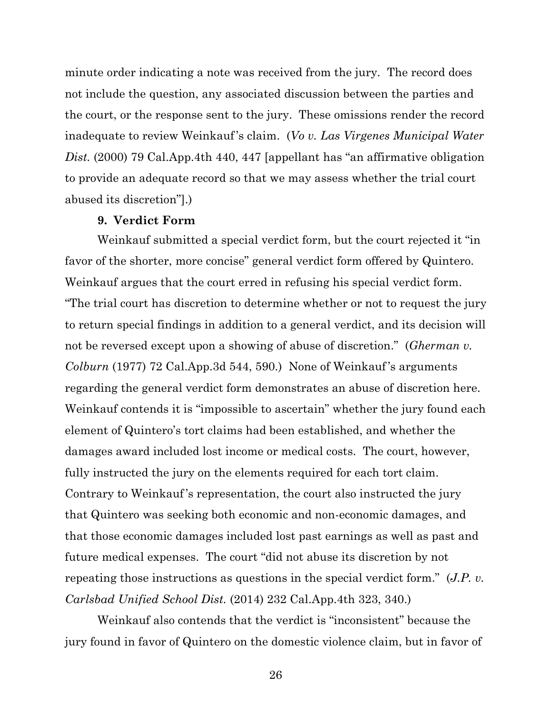minute order indicating a note was received from the jury. The record does not include the question, any associated discussion between the parties and the court, or the response sent to the jury. These omissions render the record inadequate to review Weinkauf's claim. (*Vo v. Las Virgenes Municipal Water Dist.* (2000) 79 Cal.App.4th 440, 447 [appellant has "an affirmative obligation to provide an adequate record so that we may assess whether the trial court abused its discretion"].)

#### **9. Verdict Form**

Weinkauf submitted a special verdict form, but the court rejected it "in favor of the shorter, more concise" general verdict form offered by Quintero. Weinkauf argues that the court erred in refusing his special verdict form. "The trial court has discretion to determine whether or not to request the jury to return special findings in addition to a general verdict, and its decision will not be reversed except upon a showing of abuse of discretion." (*Gherman v. Colburn* (1977) 72 Cal.App.3d 544, 590.) None of Weinkauf's arguments regarding the general verdict form demonstrates an abuse of discretion here. Weinkauf contends it is "impossible to ascertain" whether the jury found each element of Quintero's tort claims had been established, and whether the damages award included lost income or medical costs. The court, however, fully instructed the jury on the elements required for each tort claim. Contrary to Weinkauf's representation, the court also instructed the jury that Quintero was seeking both economic and non-economic damages, and that those economic damages included lost past earnings as well as past and future medical expenses. The court "did not abuse its discretion by not repeating those instructions as questions in the special verdict form." (*J.P. v. Carlsbad Unified School Dist.* (2014) 232 Cal.App.4th 323, 340.)

Weinkauf also contends that the verdict is "inconsistent" because the jury found in favor of Quintero on the domestic violence claim, but in favor of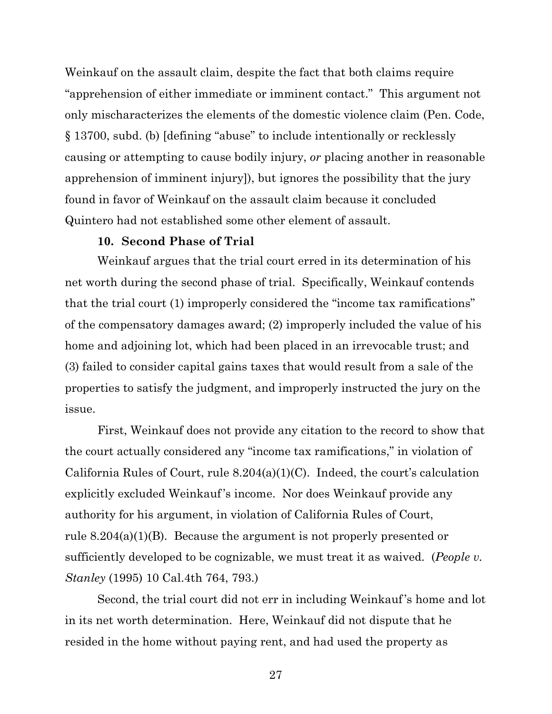Weinkauf on the assault claim, despite the fact that both claims require "apprehension of either immediate or imminent contact." This argument not only mischaracterizes the elements of the domestic violence claim (Pen. Code, § 13700, subd. (b) [defining "abuse" to include intentionally or recklessly causing or attempting to cause bodily injury, *or* placing another in reasonable apprehension of imminent injury]), but ignores the possibility that the jury found in favor of Weinkauf on the assault claim because it concluded Quintero had not established some other element of assault.

#### **10. Second Phase of Trial**

Weinkauf argues that the trial court erred in its determination of his net worth during the second phase of trial. Specifically, Weinkauf contends that the trial court (1) improperly considered the "income tax ramifications" of the compensatory damages award; (2) improperly included the value of his home and adjoining lot, which had been placed in an irrevocable trust; and (3) failed to consider capital gains taxes that would result from a sale of the properties to satisfy the judgment, and improperly instructed the jury on the issue.

First, Weinkauf does not provide any citation to the record to show that the court actually considered any "income tax ramifications," in violation of California Rules of Court, rule 8.204(a)(1)(C). Indeed, the court's calculation explicitly excluded Weinkauf's income. Nor does Weinkauf provide any authority for his argument, in violation of California Rules of Court, rule 8.204(a)(1)(B). Because the argument is not properly presented or sufficiently developed to be cognizable, we must treat it as waived. (*People v. Stanley* (1995) 10 Cal.4th 764, 793.)

Second, the trial court did not err in including Weinkauf's home and lot in its net worth determination. Here, Weinkauf did not dispute that he resided in the home without paying rent, and had used the property as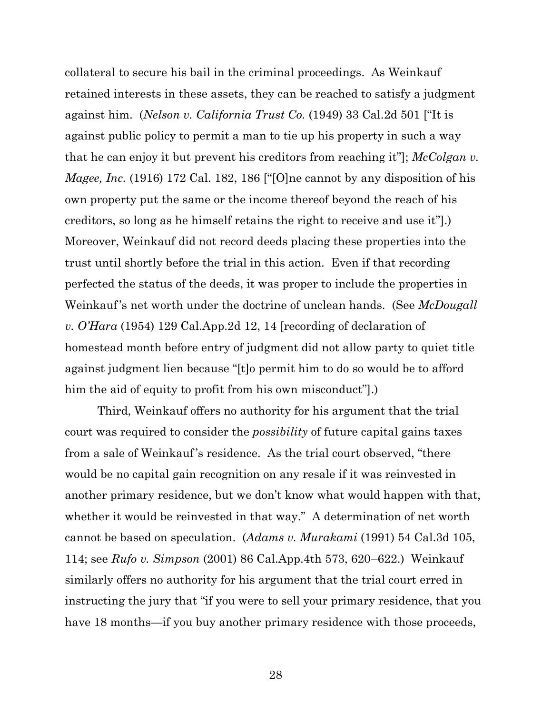collateral to secure his bail in the criminal proceedings. As Weinkauf retained interests in these assets, they can be reached to satisfy a judgment against him. (*Nelson v. California Trust Co.* (1949) 33 Cal.2d 501 ["It is against public policy to permit a man to tie up his property in such a way that he can enjoy it but prevent his creditors from reaching it"]; *McColgan v. Magee, Inc.* (1916) 172 Cal. 182, 186 ["[O]ne cannot by any disposition of his own property put the same or the income thereof beyond the reach of his creditors, so long as he himself retains the right to receive and use it"].) Moreover, Weinkauf did not record deeds placing these properties into the trust until shortly before the trial in this action. Even if that recording perfected the status of the deeds, it was proper to include the properties in Weinkauf's net worth under the doctrine of unclean hands. (See *McDougall v. O'Hara* (1954) 129 Cal.App.2d 12, 14 [recording of declaration of homestead month before entry of judgment did not allow party to quiet title against judgment lien because "[t]o permit him to do so would be to afford him the aid of equity to profit from his own misconduct"].)

Third, Weinkauf offers no authority for his argument that the trial court was required to consider the *possibility* of future capital gains taxes from a sale of Weinkauf's residence. As the trial court observed, "there would be no capital gain recognition on any resale if it was reinvested in another primary residence, but we don't know what would happen with that, whether it would be reinvested in that way." A determination of net worth cannot be based on speculation. (*Adams v. Murakami* (1991) 54 Cal.3d 105, 114; see *Rufo v. Simpson* (2001) 86 Cal.App.4th 573, 620–622.) Weinkauf similarly offers no authority for his argument that the trial court erred in instructing the jury that "if you were to sell your primary residence, that you have 18 months—if you buy another primary residence with those proceeds,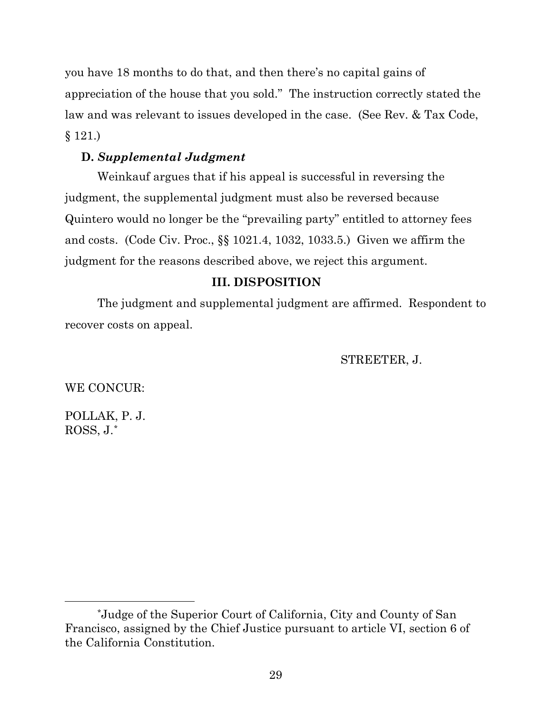you have 18 months to do that, and then there's no capital gains of appreciation of the house that you sold." The instruction correctly stated the law and was relevant to issues developed in the case. (See Rev. & Tax Code, § 121.)

# **D.** *Supplemental Judgment*

Weinkauf argues that if his appeal is successful in reversing the judgment, the supplemental judgment must also be reversed because Quintero would no longer be the "prevailing party" entitled to attorney fees and costs. (Code Civ. Proc., §§ 1021.4, 1032, 1033.5.) Given we affirm the judgment for the reasons described above, we reject this argument.

# **III. DISPOSITION**

The judgment and supplemental judgment are affirmed. Respondent to recover costs on appeal.

STREETER, J.

WE CONCUR:

POLLAK, P. J. ROSS, J.[\\*](#page-28-0)

<span id="page-28-0"></span><sup>\*</sup>Judge of the Superior Court of California, City and County of San Francisco, assigned by the Chief Justice pursuant to article VI, section 6 of the California Constitution.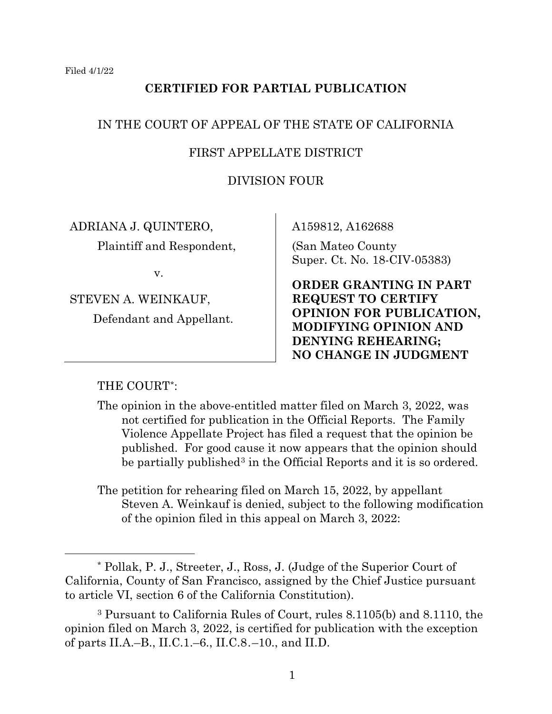# **CERTIFIED FOR PARTIAL PUBLICATION**

# IN THE COURT OF APPEAL OF THE STATE OF CALIFORNIA

## FIRST APPELLATE DISTRICT

## DIVISION FOUR

ADRIANA J. QUINTERO,

Plaintiff and Respondent,

v.

STEVEN A. WEINKAUF,

Defendant and Appellant.

A159812, A162688

(San Mateo County Super. Ct. No. 18-CIV-05383)

**ORDER GRANTING IN PART REQUEST TO CERTIFY OPINION FOR PUBLICATION, MODIFYING OPINION AND DENYING REHEARING; NO CHANGE IN JUDGMENT**

## THE COURT[\\*](#page-29-0):

- The opinion in the above-entitled matter filed on March 3, 2022, was not certified for publication in the Official Reports. The Family Violence Appellate Project has filed a request that the opinion be published. For good cause it now appears that the opinion should be partially published<sup>[3](#page-29-1)</sup> in the Official Reports and it is so ordered.
- The petition for rehearing filed on March 15, 2022, by appellant Steven A. Weinkauf is denied, subject to the following modification of the opinion filed in this appeal on March 3, 2022:

<span id="page-29-0"></span><sup>\*</sup> Pollak, P. J., Streeter, J., Ross, J. (Judge of the Superior Court of California, County of San Francisco, assigned by the Chief Justice pursuant to article VI, section 6 of the California Constitution).

<span id="page-29-1"></span><sup>3</sup> Pursuant to California Rules of Court, rules 8.1105(b) and 8.1110, the opinion filed on March 3, 2022, is certified for publication with the exception of parts II.A.–B., II.C.1.–6., II.C.8.–10., and II.D.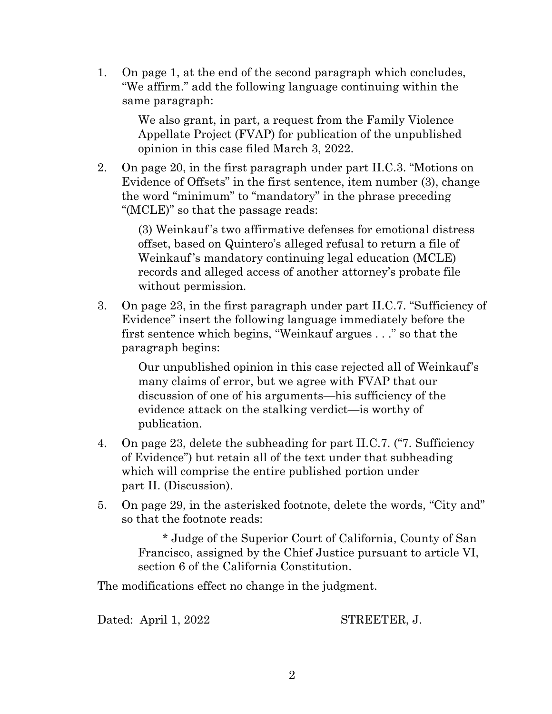1. On page 1, at the end of the second paragraph which concludes, "We affirm." add the following language continuing within the same paragraph:

> We also grant, in part, a request from the Family Violence Appellate Project (FVAP) for publication of the unpublished opinion in this case filed March 3, 2022.

2. On page 20, in the first paragraph under part II.C.3. "Motions on Evidence of Offsets" in the first sentence, item number (3), change the word "minimum" to "mandatory" in the phrase preceding "(MCLE)" so that the passage reads:

> (3) Weinkauf's two affirmative defenses for emotional distress offset, based on Quintero's alleged refusal to return a file of Weinkauf's mandatory continuing legal education (MCLE) records and alleged access of another attorney's probate file without permission.

3. On page 23, in the first paragraph under part II.C.7. "Sufficiency of Evidence" insert the following language immediately before the first sentence which begins, "Weinkauf argues . . ." so that the paragraph begins:

> Our unpublished opinion in this case rejected all of Weinkauf's many claims of error, but we agree with FVAP that our discussion of one of his arguments—his sufficiency of the evidence attack on the stalking verdict—is worthy of publication.

- 4. On page 23, delete the subheading for part II.C.7. ("7. Sufficiency of Evidence") but retain all of the text under that subheading which will comprise the entire published portion under part II. (Discussion).
- 5. On page 29, in the asterisked footnote, delete the words, "City and" so that the footnote reads:

\* Judge of the Superior Court of California, County of San Francisco, assigned by the Chief Justice pursuant to article VI, section 6 of the California Constitution.

The modifications effect no change in the judgment.

Dated: April 1, 2022 STREETER, J.